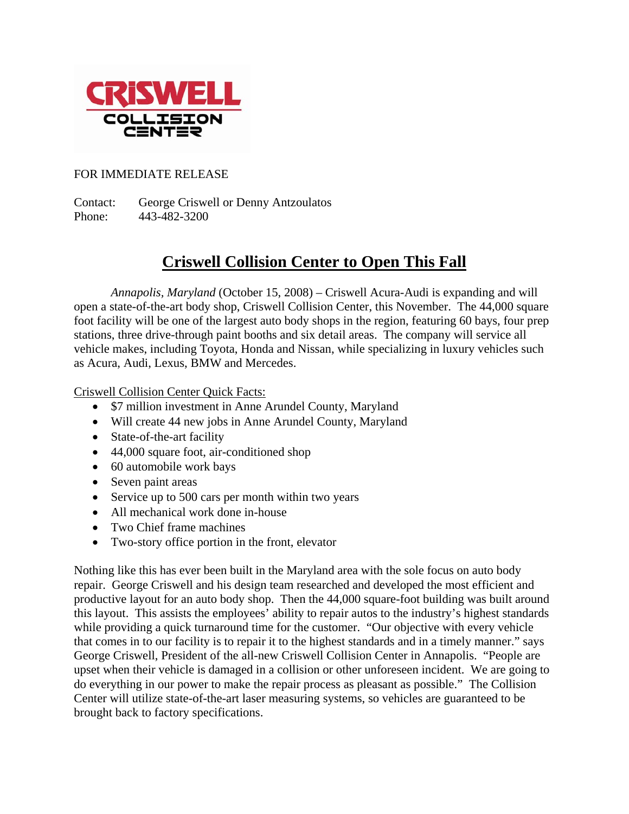

## FOR IMMEDIATE RELEASE

Contact: George Criswell or Denny Antzoulatos Phone: 443-482-3200

## **Criswell Collision Center to Open This Fall**

*Annapolis, Maryland* (October 15, 2008) – Criswell Acura-Audi is expanding and will open a state-of-the-art body shop, Criswell Collision Center, this November. The 44,000 square foot facility will be one of the largest auto body shops in the region, featuring 60 bays, four prep stations, three drive-through paint booths and six detail areas. The company will service all vehicle makes, including Toyota, Honda and Nissan, while specializing in luxury vehicles such as Acura, Audi, Lexus, BMW and Mercedes.

Criswell Collision Center Quick Facts:

- \$7 million investment in Anne Arundel County, Maryland
- Will create 44 new jobs in Anne Arundel County, Maryland
- State-of-the-art facility
- 44,000 square foot, air-conditioned shop
- 60 automobile work bays
- Seven paint areas
- Service up to 500 cars per month within two years
- All mechanical work done in-house
- Two Chief frame machines
- Two-story office portion in the front, elevator

Nothing like this has ever been built in the Maryland area with the sole focus on auto body repair. George Criswell and his design team researched and developed the most efficient and productive layout for an auto body shop. Then the 44,000 square-foot building was built around this layout. This assists the employees' ability to repair autos to the industry's highest standards while providing a quick turnaround time for the customer. "Our objective with every vehicle that comes in to our facility is to repair it to the highest standards and in a timely manner." says George Criswell, President of the all-new Criswell Collision Center in Annapolis. "People are upset when their vehicle is damaged in a collision or other unforeseen incident. We are going to do everything in our power to make the repair process as pleasant as possible." The Collision Center will utilize state-of-the-art laser measuring systems, so vehicles are guaranteed to be brought back to factory specifications.